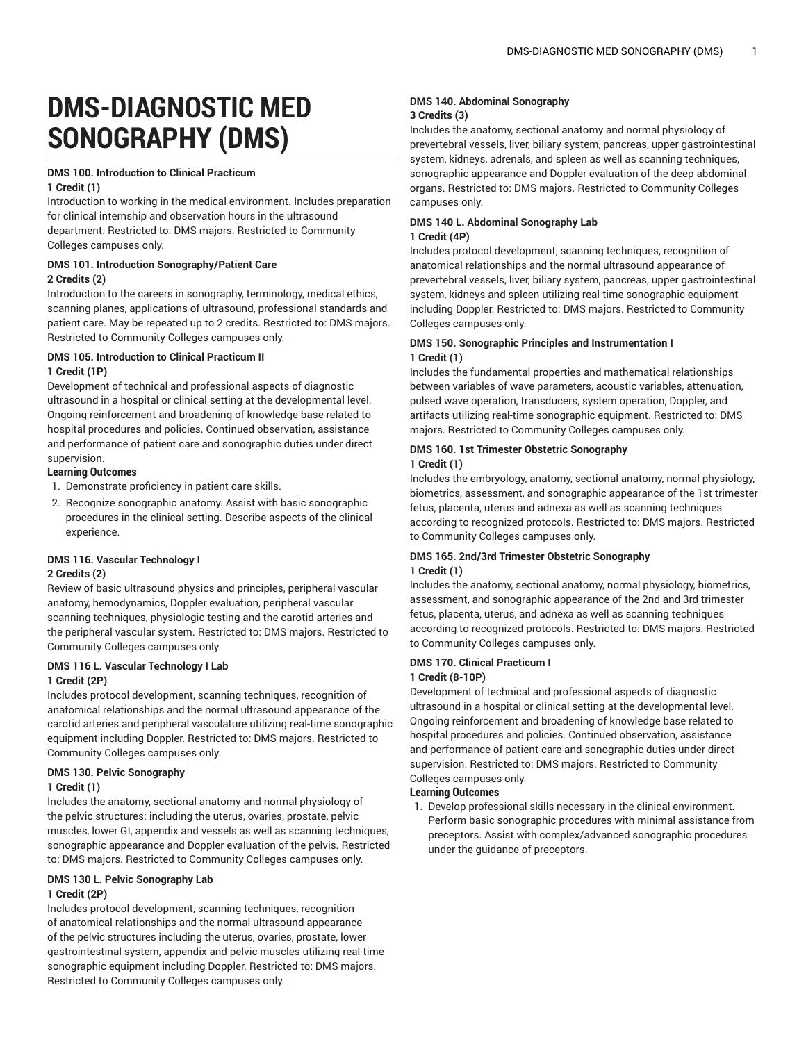# **DMS-DIAGNOSTIC MED SONOGRAPHY (DMS)**

### **DMS 100. Introduction to Clinical Practicum**

#### **1 Credit (1)**

Introduction to working in the medical environment. Includes preparation for clinical internship and observation hours in the ultrasound department. Restricted to: DMS majors. Restricted to Community Colleges campuses only.

### **DMS 101. Introduction Sonography/Patient Care 2 Credits (2)**

Introduction to the careers in sonography, terminology, medical ethics, scanning planes, applications of ultrasound, professional standards and patient care. May be repeated up to 2 credits. Restricted to: DMS majors. Restricted to Community Colleges campuses only.

### **DMS 105. Introduction to Clinical Practicum II 1 Credit (1P)**

Development of technical and professional aspects of diagnostic ultrasound in a hospital or clinical setting at the developmental level. Ongoing reinforcement and broadening of knowledge base related to hospital procedures and policies. Continued observation, assistance and performance of patient care and sonographic duties under direct supervision.

### **Learning Outcomes**

- 1. Demonstrate proficiency in patient care skills.
- 2. Recognize sonographic anatomy. Assist with basic sonographic procedures in the clinical setting. Describe aspects of the clinical experience.

### **DMS 116. Vascular Technology I**

### **2 Credits (2)**

Review of basic ultrasound physics and principles, peripheral vascular anatomy, hemodynamics, Doppler evaluation, peripheral vascular scanning techniques, physiologic testing and the carotid arteries and the peripheral vascular system. Restricted to: DMS majors. Restricted to Community Colleges campuses only.

#### **DMS 116 L. Vascular Technology I Lab 1 Credit (2P)**

Includes protocol development, scanning techniques, recognition of anatomical relationships and the normal ultrasound appearance of the carotid arteries and peripheral vasculature utilizing real-time sonographic equipment including Doppler. Restricted to: DMS majors. Restricted to Community Colleges campuses only.

### **DMS 130. Pelvic Sonography**

### **1 Credit (1)**

Includes the anatomy, sectional anatomy and normal physiology of the pelvic structures; including the uterus, ovaries, prostate, pelvic muscles, lower GI, appendix and vessels as well as scanning techniques, sonographic appearance and Doppler evaluation of the pelvis. Restricted to: DMS majors. Restricted to Community Colleges campuses only.

# **DMS 130 L. Pelvic Sonography Lab**

# **1 Credit (2P)**

Includes protocol development, scanning techniques, recognition of anatomical relationships and the normal ultrasound appearance of the pelvic structures including the uterus, ovaries, prostate, lower gastrointestinal system, appendix and pelvic muscles utilizing real-time sonographic equipment including Doppler. Restricted to: DMS majors. Restricted to Community Colleges campuses only.

### **DMS 140. Abdominal Sonography 3 Credits (3)**

Includes the anatomy, sectional anatomy and normal physiology of prevertebral vessels, liver, biliary system, pancreas, upper gastrointestinal system, kidneys, adrenals, and spleen as well as scanning techniques, sonographic appearance and Doppler evaluation of the deep abdominal organs. Restricted to: DMS majors. Restricted to Community Colleges campuses only.

### **DMS 140 L. Abdominal Sonography Lab 1 Credit (4P)**

Includes protocol development, scanning techniques, recognition of anatomical relationships and the normal ultrasound appearance of prevertebral vessels, liver, biliary system, pancreas, upper gastrointestinal system, kidneys and spleen utilizing real-time sonographic equipment including Doppler. Restricted to: DMS majors. Restricted to Community Colleges campuses only.

### **DMS 150. Sonographic Principles and Instrumentation I 1 Credit (1)**

Includes the fundamental properties and mathematical relationships between variables of wave parameters, acoustic variables, attenuation, pulsed wave operation, transducers, system operation, Doppler, and artifacts utilizing real-time sonographic equipment. Restricted to: DMS majors. Restricted to Community Colleges campuses only.

### **DMS 160. 1st Trimester Obstetric Sonography 1 Credit (1)**

Includes the embryology, anatomy, sectional anatomy, normal physiology, biometrics, assessment, and sonographic appearance of the 1st trimester fetus, placenta, uterus and adnexa as well as scanning techniques according to recognized protocols. Restricted to: DMS majors. Restricted to Community Colleges campuses only.

### **DMS 165. 2nd/3rd Trimester Obstetric Sonography 1 Credit (1)**

Includes the anatomy, sectional anatomy, normal physiology, biometrics, assessment, and sonographic appearance of the 2nd and 3rd trimester fetus, placenta, uterus, and adnexa as well as scanning techniques according to recognized protocols. Restricted to: DMS majors. Restricted to Community Colleges campuses only.

# **DMS 170. Clinical Practicum I 1 Credit (8-10P)**

Development of technical and professional aspects of diagnostic ultrasound in a hospital or clinical setting at the developmental level. Ongoing reinforcement and broadening of knowledge base related to hospital procedures and policies. Continued observation, assistance and performance of patient care and sonographic duties under direct supervision. Restricted to: DMS majors. Restricted to Community Colleges campuses only.

### **Learning Outcomes**

1. Develop professional skills necessary in the clinical environment. Perform basic sonographic procedures with minimal assistance from preceptors. Assist with complex/advanced sonographic procedures under the guidance of preceptors.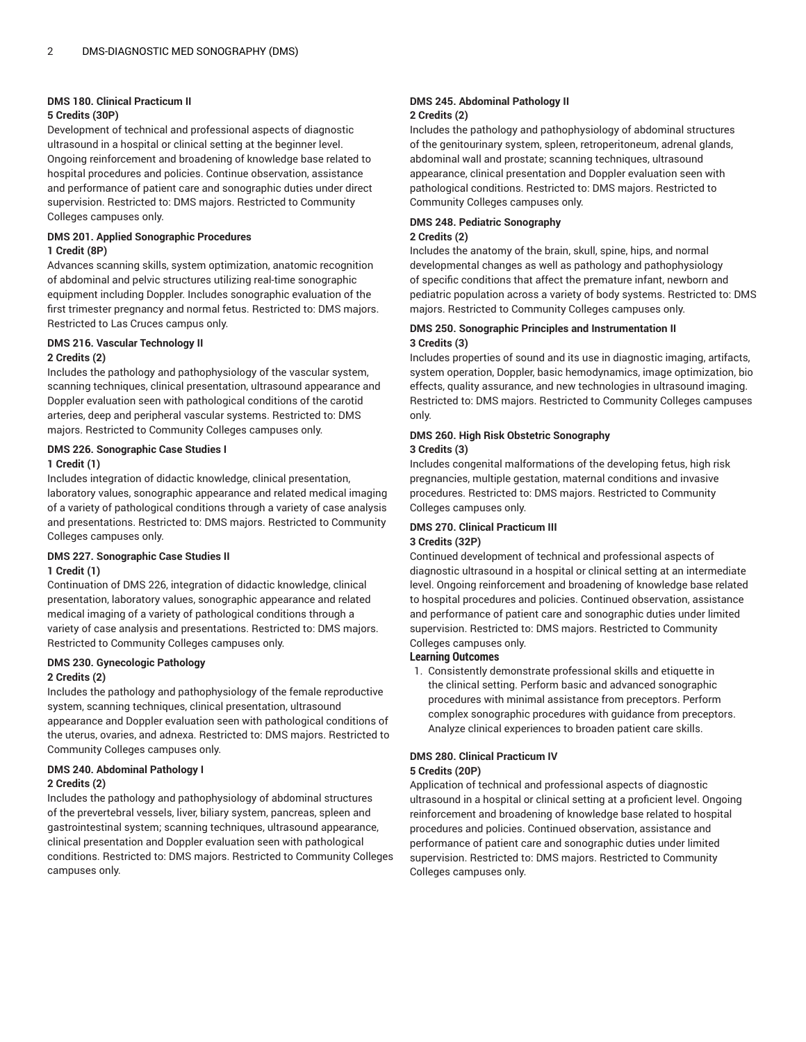# **DMS 180. Clinical Practicum II**

# **5 Credits (30P)**

Development of technical and professional aspects of diagnostic ultrasound in a hospital or clinical setting at the beginner level. Ongoing reinforcement and broadening of knowledge base related to hospital procedures and policies. Continue observation, assistance and performance of patient care and sonographic duties under direct supervision. Restricted to: DMS majors. Restricted to Community Colleges campuses only.

# **DMS 201. Applied Sonographic Procedures 1 Credit (8P)**

Advances scanning skills, system optimization, anatomic recognition of abdominal and pelvic structures utilizing real-time sonographic equipment including Doppler. Includes sonographic evaluation of the first trimester pregnancy and normal fetus. Restricted to: DMS majors. Restricted to Las Cruces campus only.

# **DMS 216. Vascular Technology II 2 Credits (2)**

Includes the pathology and pathophysiology of the vascular system, scanning techniques, clinical presentation, ultrasound appearance and Doppler evaluation seen with pathological conditions of the carotid arteries, deep and peripheral vascular systems. Restricted to: DMS majors. Restricted to Community Colleges campuses only.

### **DMS 226. Sonographic Case Studies I 1 Credit (1)**

Includes integration of didactic knowledge, clinical presentation, laboratory values, sonographic appearance and related medical imaging of a variety of pathological conditions through a variety of case analysis and presentations. Restricted to: DMS majors. Restricted to Community Colleges campuses only.

# **DMS 227. Sonographic Case Studies II 1 Credit (1)**

Continuation of DMS 226, integration of didactic knowledge, clinical presentation, laboratory values, sonographic appearance and related medical imaging of a variety of pathological conditions through a variety of case analysis and presentations. Restricted to: DMS majors. Restricted to Community Colleges campuses only.

# **DMS 230. Gynecologic Pathology**

# **2 Credits (2)**

Includes the pathology and pathophysiology of the female reproductive system, scanning techniques, clinical presentation, ultrasound appearance and Doppler evaluation seen with pathological conditions of the uterus, ovaries, and adnexa. Restricted to: DMS majors. Restricted to Community Colleges campuses only.

### **DMS 240. Abdominal Pathology I 2 Credits (2)**

Includes the pathology and pathophysiology of abdominal structures

of the prevertebral vessels, liver, biliary system, pancreas, spleen and gastrointestinal system; scanning techniques, ultrasound appearance, clinical presentation and Doppler evaluation seen with pathological conditions. Restricted to: DMS majors. Restricted to Community Colleges campuses only.

### **DMS 245. Abdominal Pathology II 2 Credits (2)**

Includes the pathology and pathophysiology of abdominal structures of the genitourinary system, spleen, retroperitoneum, adrenal glands, abdominal wall and prostate; scanning techniques, ultrasound appearance, clinical presentation and Doppler evaluation seen with pathological conditions. Restricted to: DMS majors. Restricted to Community Colleges campuses only.

# **DMS 248. Pediatric Sonography**

# **2 Credits (2)**

Includes the anatomy of the brain, skull, spine, hips, and normal developmental changes as well as pathology and pathophysiology of specific conditions that affect the premature infant, newborn and pediatric population across a variety of body systems. Restricted to: DMS majors. Restricted to Community Colleges campuses only.

# **DMS 250. Sonographic Principles and Instrumentation II 3 Credits (3)**

Includes properties of sound and its use in diagnostic imaging, artifacts, system operation, Doppler, basic hemodynamics, image optimization, bio effects, quality assurance, and new technologies in ultrasound imaging. Restricted to: DMS majors. Restricted to Community Colleges campuses only.

# **DMS 260. High Risk Obstetric Sonography 3 Credits (3)**

Includes congenital malformations of the developing fetus, high risk pregnancies, multiple gestation, maternal conditions and invasive procedures. Restricted to: DMS majors. Restricted to Community Colleges campuses only.

# **DMS 270. Clinical Practicum III**

# **3 Credits (32P)**

Continued development of technical and professional aspects of diagnostic ultrasound in a hospital or clinical setting at an intermediate level. Ongoing reinforcement and broadening of knowledge base related to hospital procedures and policies. Continued observation, assistance and performance of patient care and sonographic duties under limited supervision. Restricted to: DMS majors. Restricted to Community Colleges campuses only.

# **Learning Outcomes**

1. Consistently demonstrate professional skills and etiquette in the clinical setting. Perform basic and advanced sonographic procedures with minimal assistance from preceptors. Perform complex sonographic procedures with guidance from preceptors. Analyze clinical experiences to broaden patient care skills.

### **DMS 280. Clinical Practicum IV 5 Credits (20P)**

Application of technical and professional aspects of diagnostic ultrasound in a hospital or clinical setting at a proficient level. Ongoing reinforcement and broadening of knowledge base related to hospital procedures and policies. Continued observation, assistance and performance of patient care and sonographic duties under limited supervision. Restricted to: DMS majors. Restricted to Community Colleges campuses only.